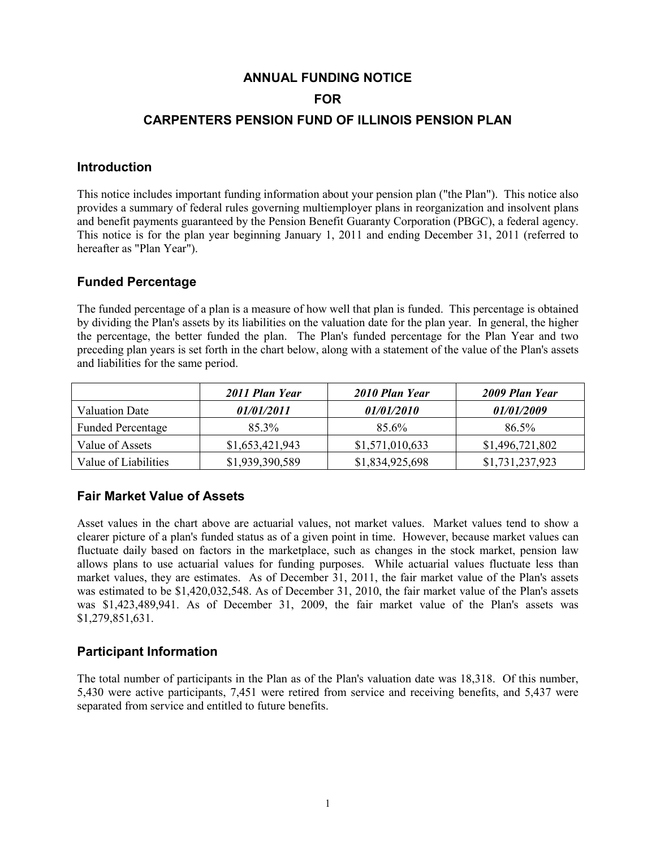# **ANNUAL FUNDING NOTICE FOR**

## **CARPENTERS PENSION FUND OF ILLINOIS PENSION PLAN**

#### **Introduction**

This notice includes important funding information about your pension plan ("the Plan"). This notice also provides a summary of federal rules governing multiemployer plans in reorganization and insolvent plans and benefit payments guaranteed by the Pension Benefit Guaranty Corporation (PBGC), a federal agency. This notice is for the plan year beginning January 1, 2011 and ending December 31, 2011 (referred to hereafter as "Plan Year").

## **Funded Percentage**

The funded percentage of a plan is a measure of how well that plan is funded. This percentage is obtained by dividing the Plan's assets by its liabilities on the valuation date for the plan year. In general, the higher the percentage, the better funded the plan. The Plan's funded percentage for the Plan Year and two preceding plan years is set forth in the chart below, along with a statement of the value of the Plan's assets and liabilities for the same period.

|                          | 2011 Plan Year  | 2010 Plan Year  | 2009 Plan Year    |
|--------------------------|-----------------|-----------------|-------------------|
| Valuation Date           | 01/01/2011      | 01/01/2010      | <i>01/01/2009</i> |
| <b>Funded Percentage</b> | 85.3%           | $85.6\%$        | 86.5%             |
| Value of Assets          | \$1,653,421,943 | \$1,571,010,633 | \$1,496,721,802   |
| Value of Liabilities     | \$1,939,390,589 | \$1,834,925,698 | \$1,731,237,923   |

## **Fair Market Value of Assets**

Asset values in the chart above are actuarial values, not market values. Market values tend to show a clearer picture of a plan's funded status as of a given point in time. However, because market values can fluctuate daily based on factors in the marketplace, such as changes in the stock market, pension law allows plans to use actuarial values for funding purposes. While actuarial values fluctuate less than market values, they are estimates. As of December 31, 2011, the fair market value of the Plan's assets was estimated to be \$1,420,032,548. As of December 31, 2010, the fair market value of the Plan's assets was \$1,423,489,941. As of December 31, 2009, the fair market value of the Plan's assets was \$1,279,851,631.

## **Participant Information**

The total number of participants in the Plan as of the Plan's valuation date was 18,318. Of this number, 5,430 were active participants, 7,451 were retired from service and receiving benefits, and 5,437 were separated from service and entitled to future benefits.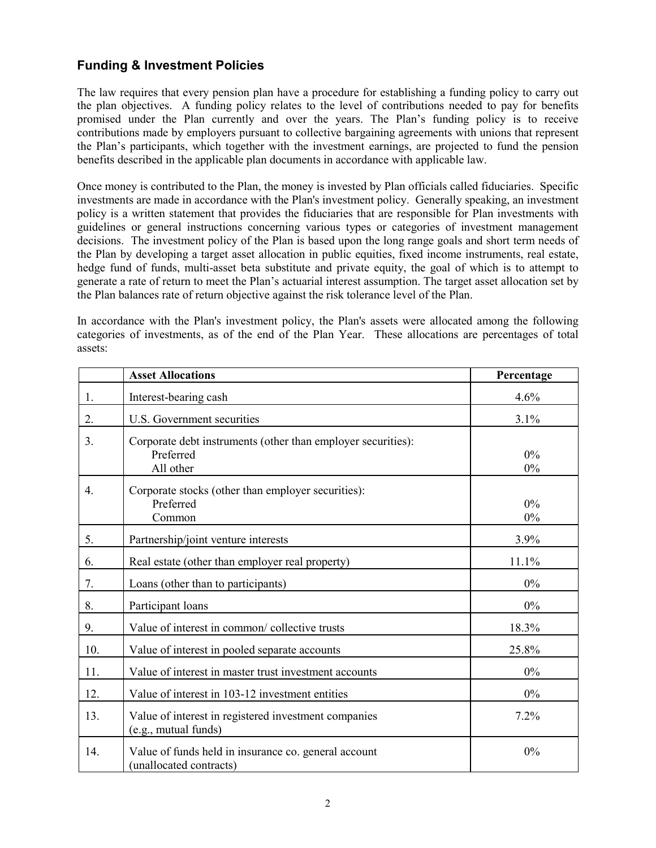## **Funding & Investment Policies**

The law requires that every pension plan have a procedure for establishing a funding policy to carry out the plan objectives. A funding policy relates to the level of contributions needed to pay for benefits promised under the Plan currently and over the years. The Plan's funding policy is to receive contributions made by employers pursuant to collective bargaining agreements with unions that represent the Plan's participants, which together with the investment earnings, are projected to fund the pension benefits described in the applicable plan documents in accordance with applicable law.

Once money is contributed to the Plan, the money is invested by Plan officials called fiduciaries. Specific investments are made in accordance with the Plan's investment policy. Generally speaking, an investment policy is a written statement that provides the fiduciaries that are responsible for Plan investments with guidelines or general instructions concerning various types or categories of investment management decisions. The investment policy of the Plan is based upon the long range goals and short term needs of the Plan by developing a target asset allocation in public equities, fixed income instruments, real estate, hedge fund of funds, multi-asset beta substitute and private equity, the goal of which is to attempt to generate a rate of return to meet the Plan's actuarial interest assumption. The target asset allocation set by the Plan balances rate of return objective against the risk tolerance level of the Plan.

In accordance with the Plan's investment policy, the Plan's assets were allocated among the following categories of investments, as of the end of the Plan Year. These allocations are percentages of total assets:

|                  | <b>Asset Allocations</b>                                                               | Percentage |
|------------------|----------------------------------------------------------------------------------------|------------|
| 1.               | Interest-bearing cash                                                                  | 4.6%       |
| 2.               | U.S. Government securities                                                             | 3.1%       |
| 3.               | Corporate debt instruments (other than employer securities):<br>Preferred<br>All other | 0%<br>0%   |
| $\overline{4}$ . | Corporate stocks (other than employer securities):<br>Preferred<br>Common              | 0%<br>0%   |
| 5.               | Partnership/joint venture interests                                                    | 3.9%       |
| 6.               | Real estate (other than employer real property)                                        | 11.1%      |
| 7.               | Loans (other than to participants)                                                     | 0%         |
| 8.               | Participant loans                                                                      | 0%         |
| 9.               | Value of interest in common/ collective trusts                                         | 18.3%      |
| 10.              | Value of interest in pooled separate accounts                                          | 25.8%      |
| 11.              | Value of interest in master trust investment accounts                                  | 0%         |
| 12.              | Value of interest in 103-12 investment entities                                        | 0%         |
| 13.              | Value of interest in registered investment companies<br>(e.g., mutual funds)           | 7.2%       |
| 14.              | Value of funds held in insurance co. general account<br>(unallocated contracts)        | 0%         |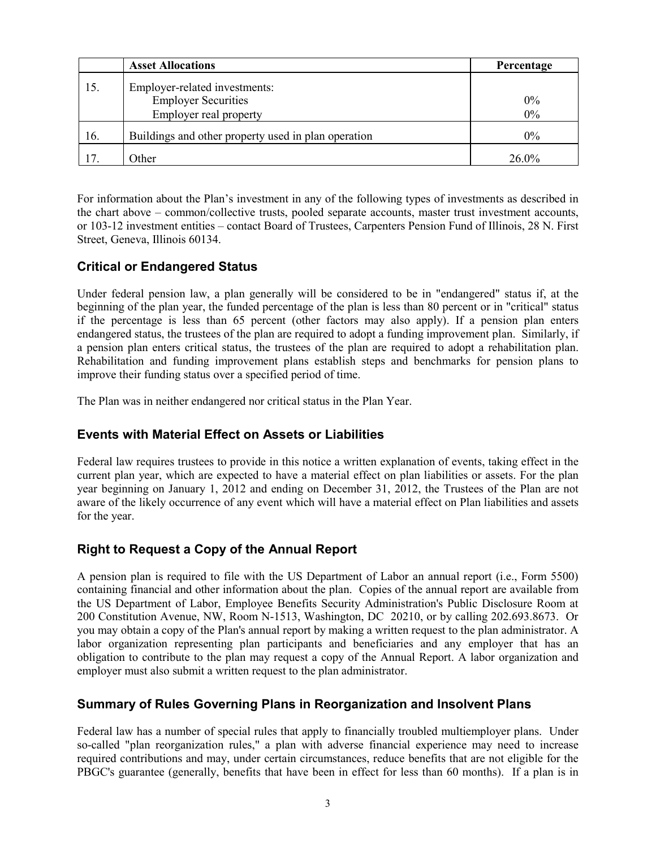|     | <b>Asset Allocations</b>                            | Percentage |
|-----|-----------------------------------------------------|------------|
| 15. | Employer-related investments:                       |            |
|     | <b>Employer Securities</b>                          | 0%         |
|     | Employer real property                              | 0%         |
| 16. | Buildings and other property used in plan operation | $0\%$      |
| 17. | Other                                               | $26.0\%$   |

For information about the Plan's investment in any of the following types of investments as described in the chart above – common/collective trusts, pooled separate accounts, master trust investment accounts, or 103-12 investment entities – contact Board of Trustees, Carpenters Pension Fund of Illinois, 28 N. First Street, Geneva, Illinois 60134.

## **Critical or Endangered Status**

Under federal pension law, a plan generally will be considered to be in "endangered" status if, at the beginning of the plan year, the funded percentage of the plan is less than 80 percent or in "critical" status if the percentage is less than 65 percent (other factors may also apply). If a pension plan enters endangered status, the trustees of the plan are required to adopt a funding improvement plan. Similarly, if a pension plan enters critical status, the trustees of the plan are required to adopt a rehabilitation plan. Rehabilitation and funding improvement plans establish steps and benchmarks for pension plans to improve their funding status over a specified period of time.

The Plan was in neither endangered nor critical status in the Plan Year.

## **Events with Material Effect on Assets or Liabilities**

Federal law requires trustees to provide in this notice a written explanation of events, taking effect in the current plan year, which are expected to have a material effect on plan liabilities or assets. For the plan year beginning on January 1, 2012 and ending on December 31, 2012, the Trustees of the Plan are not aware of the likely occurrence of any event which will have a material effect on Plan liabilities and assets for the year.

## **Right to Request a Copy of the Annual Report**

A pension plan is required to file with the US Department of Labor an annual report (i.e., Form 5500) containing financial and other information about the plan. Copies of the annual report are available from the US Department of Labor, Employee Benefits Security Administration's Public Disclosure Room at 200 Constitution Avenue, NW, Room N-1513, Washington, DC 20210, or by calling 202.693.8673. Or you may obtain a copy of the Plan's annual report by making a written request to the plan administrator. A labor organization representing plan participants and beneficiaries and any employer that has an obligation to contribute to the plan may request a copy of the Annual Report. A labor organization and employer must also submit a written request to the plan administrator.

## **Summary of Rules Governing Plans in Reorganization and Insolvent Plans**

Federal law has a number of special rules that apply to financially troubled multiemployer plans. Under so-called "plan reorganization rules," a plan with adverse financial experience may need to increase required contributions and may, under certain circumstances, reduce benefits that are not eligible for the PBGC's guarantee (generally, benefits that have been in effect for less than 60 months). If a plan is in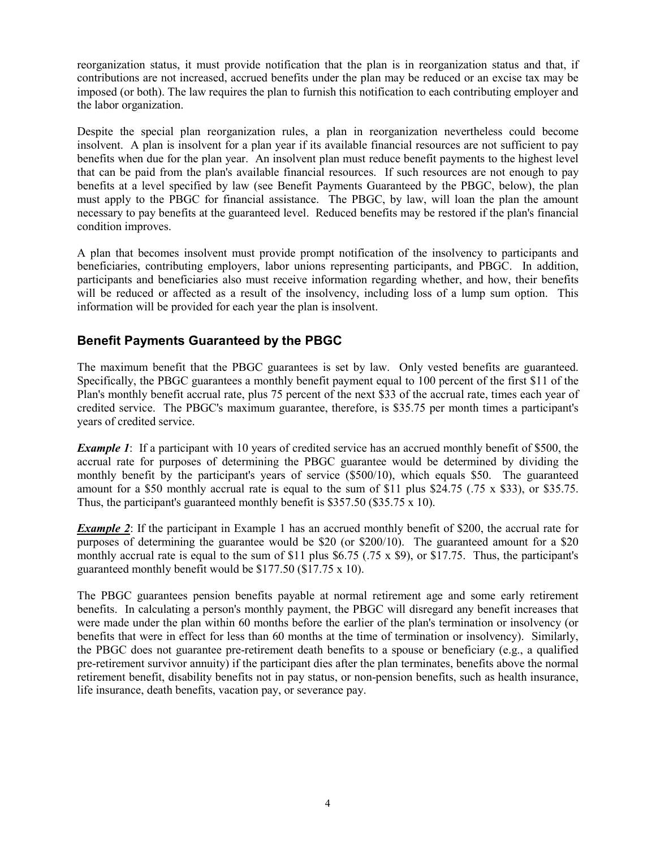reorganization status, it must provide notification that the plan is in reorganization status and that, if contributions are not increased, accrued benefits under the plan may be reduced or an excise tax may be imposed (or both). The law requires the plan to furnish this notification to each contributing employer and the labor organization.

Despite the special plan reorganization rules, a plan in reorganization nevertheless could become insolvent. A plan is insolvent for a plan year if its available financial resources are not sufficient to pay benefits when due for the plan year. An insolvent plan must reduce benefit payments to the highest level that can be paid from the plan's available financial resources. If such resources are not enough to pay benefits at a level specified by law (see Benefit Payments Guaranteed by the PBGC, below), the plan must apply to the PBGC for financial assistance. The PBGC, by law, will loan the plan the amount necessary to pay benefits at the guaranteed level. Reduced benefits may be restored if the plan's financial condition improves.

A plan that becomes insolvent must provide prompt notification of the insolvency to participants and beneficiaries, contributing employers, labor unions representing participants, and PBGC. In addition, participants and beneficiaries also must receive information regarding whether, and how, their benefits will be reduced or affected as a result of the insolvency, including loss of a lump sum option. This information will be provided for each year the plan is insolvent.

## **Benefit Payments Guaranteed by the PBGC**

The maximum benefit that the PBGC guarantees is set by law. Only vested benefits are guaranteed. Specifically, the PBGC guarantees a monthly benefit payment equal to 100 percent of the first \$11 of the Plan's monthly benefit accrual rate, plus 75 percent of the next \$33 of the accrual rate, times each year of credited service. The PBGC's maximum guarantee, therefore, is \$35.75 per month times a participant's years of credited service.

*Example 1*: If a participant with 10 years of credited service has an accrued monthly benefit of \$500, the accrual rate for purposes of determining the PBGC guarantee would be determined by dividing the monthly benefit by the participant's years of service (\$500/10), which equals \$50. The guaranteed amount for a \$50 monthly accrual rate is equal to the sum of \$11 plus \$24.75 (.75 x \$33), or \$35.75. Thus, the participant's guaranteed monthly benefit is \$357.50 (\$35.75 x 10).

*Example 2*: If the participant in Example 1 has an accrued monthly benefit of \$200, the accrual rate for purposes of determining the guarantee would be \$20 (or \$200/10). The guaranteed amount for a \$20 monthly accrual rate is equal to the sum of \$11 plus \$6.75 (.75 x \$9), or \$17.75. Thus, the participant's guaranteed monthly benefit would be \$177.50 (\$17.75 x 10).

The PBGC guarantees pension benefits payable at normal retirement age and some early retirement benefits. In calculating a person's monthly payment, the PBGC will disregard any benefit increases that were made under the plan within 60 months before the earlier of the plan's termination or insolvency (or benefits that were in effect for less than 60 months at the time of termination or insolvency). Similarly, the PBGC does not guarantee pre-retirement death benefits to a spouse or beneficiary (e.g., a qualified pre-retirement survivor annuity) if the participant dies after the plan terminates, benefits above the normal retirement benefit, disability benefits not in pay status, or non-pension benefits, such as health insurance, life insurance, death benefits, vacation pay, or severance pay.